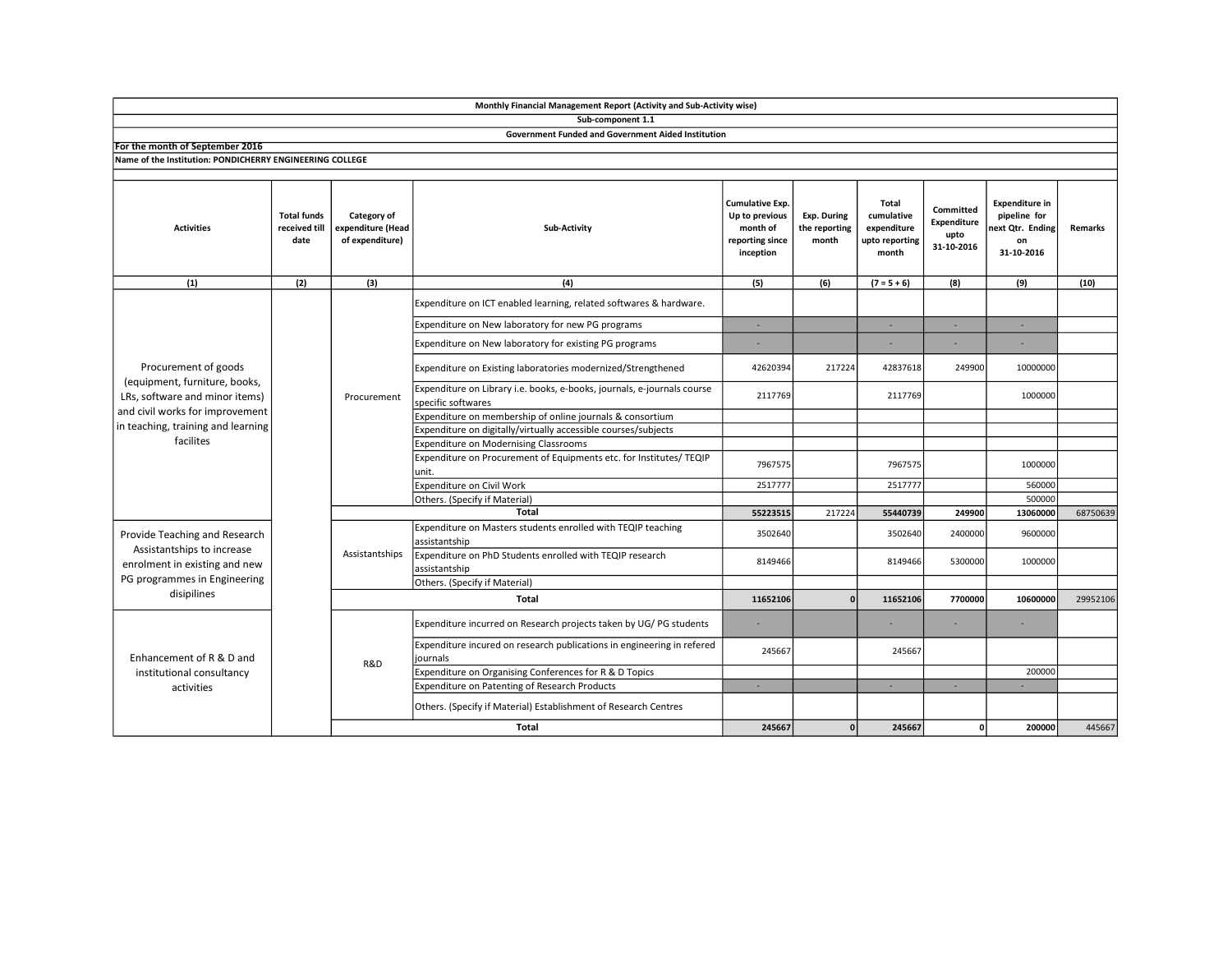|                                                                                                                                                                               |                                             |                                                     | Sub-component 1.1                                                                             |                                                                               |                                       |                                                               |                                                |                                                                              |          |
|-------------------------------------------------------------------------------------------------------------------------------------------------------------------------------|---------------------------------------------|-----------------------------------------------------|-----------------------------------------------------------------------------------------------|-------------------------------------------------------------------------------|---------------------------------------|---------------------------------------------------------------|------------------------------------------------|------------------------------------------------------------------------------|----------|
|                                                                                                                                                                               |                                             |                                                     | <b>Government Funded and Government Aided Institution</b>                                     |                                                                               |                                       |                                                               |                                                |                                                                              |          |
| For the month of September 2016                                                                                                                                               |                                             |                                                     |                                                                                               |                                                                               |                                       |                                                               |                                                |                                                                              |          |
| Name of the Institution: PONDICHERRY ENGINEERING COLLEGE                                                                                                                      |                                             |                                                     |                                                                                               |                                                                               |                                       |                                                               |                                                |                                                                              |          |
|                                                                                                                                                                               |                                             |                                                     |                                                                                               |                                                                               |                                       |                                                               |                                                |                                                                              |          |
| <b>Activities</b>                                                                                                                                                             | <b>Total funds</b><br>received till<br>date | Category of<br>expenditure (Head<br>of expenditure) | Sub-Activity                                                                                  | Cumulative Exp.<br>Up to previous<br>month of<br>reporting since<br>inception | Exp. During<br>the reporting<br>month | Total<br>cumulative<br>expenditure<br>upto reporting<br>month | Committed<br>Expenditure<br>upto<br>31-10-2016 | <b>Expenditure in</b><br>pipeline for<br>ext Qtr. Ending<br>on<br>31-10-2016 | Remarks  |
| (1)                                                                                                                                                                           | (2)                                         | (3)                                                 | (4)                                                                                           | (5)                                                                           | (6)                                   | $(7 = 5 + 6)$                                                 | (8)                                            | (9)                                                                          | (10)     |
| Procurement of goods<br>(equipment, furniture, books,<br>LRs, software and minor items)<br>and civil works for improvement<br>in teaching, training and learning<br>facilites |                                             | Procurement                                         | Expenditure on ICT enabled learning, related softwares & hardware.                            |                                                                               |                                       |                                                               |                                                |                                                                              |          |
|                                                                                                                                                                               |                                             |                                                     | Expenditure on New laboratory for new PG programs                                             | ٠                                                                             |                                       | ×.                                                            | ÷                                              | . п.                                                                         |          |
|                                                                                                                                                                               |                                             |                                                     | Expenditure on New laboratory for existing PG programs                                        | ٠                                                                             |                                       |                                                               |                                                |                                                                              |          |
|                                                                                                                                                                               |                                             |                                                     | Expenditure on Existing laboratories modernized/Strengthened                                  | 42620394                                                                      | 217224                                | 42837618                                                      | 249900                                         | 10000000                                                                     |          |
|                                                                                                                                                                               |                                             |                                                     | Expenditure on Library i.e. books, e-books, journals, e-journals course<br>specific softwares | 2117769                                                                       |                                       | 2117769                                                       |                                                | 1000000                                                                      |          |
|                                                                                                                                                                               |                                             |                                                     | Expenditure on membership of online journals & consortium                                     |                                                                               |                                       |                                                               |                                                |                                                                              |          |
|                                                                                                                                                                               |                                             |                                                     | Expenditure on digitally/virtually accessible courses/subjects                                |                                                                               |                                       |                                                               |                                                |                                                                              |          |
|                                                                                                                                                                               |                                             |                                                     | <b>Expenditure on Modernising Classrooms</b>                                                  |                                                                               |                                       |                                                               |                                                |                                                                              |          |
|                                                                                                                                                                               |                                             |                                                     | Expenditure on Procurement of Equipments etc. for Institutes/ TEQIP<br>unit.                  | 7967575                                                                       |                                       | 7967575                                                       |                                                | 1000000                                                                      |          |
|                                                                                                                                                                               |                                             |                                                     | Expenditure on Civil Work                                                                     | 2517777                                                                       |                                       | 2517777                                                       |                                                | 560000                                                                       |          |
|                                                                                                                                                                               |                                             |                                                     | Others. (Specify if Material)                                                                 |                                                                               |                                       |                                                               |                                                | 500000                                                                       |          |
|                                                                                                                                                                               |                                             |                                                     | <b>Total</b>                                                                                  | 55223515                                                                      | 217224                                | 55440739                                                      | 249900                                         | 13060000                                                                     | 68750639 |
| Provide Teaching and Research<br>Assistantships to increase<br>enrolment in existing and new<br>PG programmes in Engineering<br>disipilines                                   |                                             | Assistantships                                      | Expenditure on Masters students enrolled with TEQIP teaching<br>assistantship                 | 3502640                                                                       |                                       | 3502640                                                       | 2400000                                        | 9600000                                                                      |          |
|                                                                                                                                                                               |                                             |                                                     | Expenditure on PhD Students enrolled with TEQIP research<br>assistantship                     | 8149466                                                                       |                                       | 8149466                                                       | 5300000                                        | 1000000                                                                      |          |
|                                                                                                                                                                               |                                             |                                                     | Others. (Specify if Material)                                                                 |                                                                               |                                       |                                                               |                                                |                                                                              |          |
|                                                                                                                                                                               |                                             | <b>Total</b>                                        |                                                                                               |                                                                               | $\mathbf{0}$                          | 11652106                                                      | 7700000                                        | 10600000                                                                     | 29952106 |
| Enhancement of R & D and<br>institutional consultancy<br>activities                                                                                                           |                                             | R&D                                                 | Expenditure incurred on Research projects taken by UG/PG students                             | ٠                                                                             |                                       |                                                               |                                                |                                                                              |          |
|                                                                                                                                                                               |                                             |                                                     | Expenditure incured on research publications in engineering in refered<br>journals            | 245667                                                                        |                                       | 245667                                                        |                                                |                                                                              |          |
|                                                                                                                                                                               |                                             |                                                     | Expenditure on Organising Conferences for R & D Topics                                        |                                                                               |                                       |                                                               |                                                | 200000                                                                       |          |
|                                                                                                                                                                               |                                             |                                                     | <b>Expenditure on Patenting of Research Products</b>                                          | ×,                                                                            |                                       | $\sim$                                                        | п.                                             |                                                                              |          |
|                                                                                                                                                                               |                                             |                                                     | Others. (Specify if Material) Establishment of Research Centres                               |                                                                               |                                       |                                                               |                                                |                                                                              |          |
|                                                                                                                                                                               |                                             |                                                     | Total                                                                                         | 245667                                                                        | $\mathbf{0}$                          | 245667                                                        | οI                                             | 200000                                                                       | 445667   |

Monthly Financial Management Report (Activity and Sub-Activity wise)